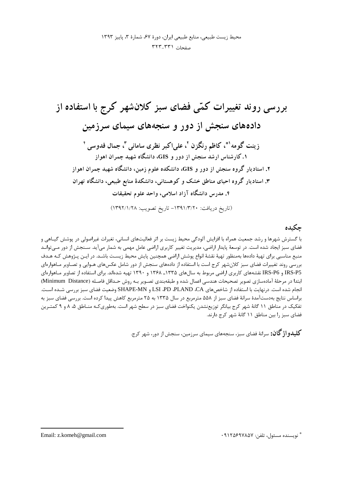محيط زيست طبيعي، منابع طبيعي ايران، دورة ۶۷، شمارة ٣، پاييز ١٣٩٣ صفحات ٣٢١-٣٢٣

## چکىدە

با گسترش شهرها و رشد جمعیت همراه با افزایش آلودگی محیط زیست بر اثر فعالیتهای انسانی، تغیرات غیراصولی در پوشش گیـاهی و فضای سبز ایجاد شده است. در توسعهٔ پایدار اراضی، مدیریت تغییر کاربری اراضی عامل مهمی به شمار میآید. سـنجش از دور مـیتوانـد منبع مناسبی برای تهیهٔ دادهها بهمنظور تهیهٔ نقشهٔ انواع پوشش اراضی همچنین پایش محیط زیست باشـد. در ایـن پـژوهش کـه هـدف بررسی روند تغییرات فضای سبز کلانشهر کرج است با استفاده از دادههای سنجش از دور شامل عکسهای هـوایی و تصـاویر مـاهوارهای RS-P5 و IRS-P6 نقشههای کاربری اراضی مربوط به سالهای ۱۳۳۵ـ ۱۳۶۸ و ۱۳۹۰ تهیه شدهاند. برای استفاده از تصاویر مـاهوارهای ابتدا در مرحلة آمادهسازي تصوير تصحيحات هندسي اعمال شده و طبقهبندي تصـوير بـه روش حـداقل فاصـله (Minimum Distance) انجام شده است. درنهایت با استفاده از شاخصهای LSI ،PD ،PLAND ،CA و SHAPE-MN وضعیت فضای سبز بررسی شـده اسـت. براساس نتايج بهدستآمدهٔ سرانهٔ فضای سبز از ۵۵۸ مترمربع در سال ۱۳۳۵ به ۲۵ مترمربع کاهش پيدا کرده است. بررسی فضای سبز به تفکیک در مناطق ۱۱ گانهٔ شهر کرج بیانگر توزیعنشدن یکنواخت فضای سبز در سطح شهر است. بهطوری کـه منـاطق ۵، ۸ و ۹ کمتـرین فضای سبز را بین مناطق ۱۱ گانهٔ شهر کرج دارند.

**کلیدواژ گان:** سرانهٔ فضای سبز، سنجههای سیمای سرزمین، سنجش از دور، شهر کرج.

\* نويسنده مسئول، تلفن: ٩١٢٥۶٩٧٨۵٧.

Email: z.komeh@gmail.com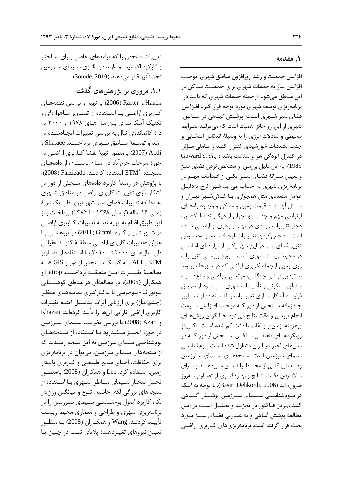### ۱. مقدمه

افزایش جمعیت و رشد روزافزون مناطق شهری موجب افزایش نیاز به خدمات شهری برای جمعیت ســاکن در این مناطق میشود. ازجمله خدمات شهری که بایـد در برنامهریزی توسعهٔ شهری مورد توجه قرار گیرد افـزایش فضای سبز شـهری اسـت. پوشـش گیـاهی در منـاطق شهری از این رو حائز اهمیت است که میتوانـد شــرایط محيطي و تبادلات انرژي را به وسيلهٔ انعکاس انتخـابي و جذب تشعشات خورشیدی کنترل کنـد و عـاملی مـؤثر Goward et al., ) ادر کنترل آلودگی هوا و سلامت باشد 1985). به این دلیل بررسی و مشخص کردن فضای سبز و تعیین سـرانهٔ فضـای سـبز یکـی از اقـدامات مهـم در برنامه پزی شهری به حساب می آید. شهر کرج بهدلیـل عوامل متعددي مثل همجواري بـا كـلانشــهر تهـران و مسائل آن مانند قیمت زمین و مسکن و وجـود راههـای ارتباطی مهم و جذب مهـاجران از دیگـر نقـاط کشـور، دچار تغییرات زیـادی در بهـرهبـرداری از اراضـی شـده است. مشخص كردن تغييـرات ايجـادشـده بـهخصـوص تغییر فضای سبز در این شهر یکیی از نیازهـای اساسـی در محیط زیست شهری است. امروزه بررســی تغییــرات روی زمین ازجمله کاربری اراضی که در شهرها مربـوط به تبدیل اراضی جنگلـی، مرتعـی، زراعـی و بـاغهـا بـه مناطق مسکونی و تأسیسات شهری مــیشــود از طریــق فراینــد آشکارســازی تغییــرات بــا اســتفاده از تصــاویر چندزمانهٔ سـنجش از دور کـه موجـب افـزايش سـرعت انجام بررسی و دقت نتایج میشود جـایگزین روشهـای پرهزينه، زمانبر و اغلب با دقت كم شده اسـت. يكـي از رویکردهـای تلفیقــی بــا فــن ســنجش از دور کــه در سالهای اخیر در ایران متداول شده است بومشناسی سیمای سرزمین است. سـنجههـای سـیمای سـرزمین وضعیتی کلبی از محیط را نشـان مـیٖدهنـد و بـرای بـالابـردن دقـت نتـايج و بهـرهگيـري از تصـاوير بـهروز ضرورياند (Basiri Dehkordi, 2006). با توجه به اينكه در بومشناســی ســیمای ســرزمین پوشــش گیــاهی کلیدیترین فـاکتور در تجزیـه و تحلیـل اسـت در ایـن مطالعه پوشش گیاهی و به عبـارتی فضـای سـبز مـورد بحث قرار گرفته است. برنامهریزیهای کباربری اراضی

تغییرات مشخص را که پیامدهای خاصی بـرای سـاختار و کارکرد اکوسیستم دارند در الگـوی سـیمای سـرزمین تحت تأثير قرار مي دهند (Sotode, 2010).

۱.۱. مروری بر پژوهش های گذشته

Haack و Rafter (2006) با تهیه و بررسی نقشههای كـاربري اراضــي بــا اســتفاده از تصــاوير مــاهوارهاي و تکنیک آشکارسازی بین سالهای ۱۹۷۸ و ۲۰۰۰ در درهٔ کاتماندوی نپال به بررسی تغییرات ایجـادشـده در رشد و توسعهٔ منـاطق شـهري پرداختنـد. Shataee و Abdi (2007) بهمنظور تهيهٔ نقشهٔ كـاربري اراضـي در حوزهٔ سرخاب خرمآباد در استان لرسـتان، از دادههـای سنجنده +ETM استفاده كردنـد. Faizizade (2008)، با پژوهش در زمینهٔ کاربرد دادههای سنجش از دور در آشکارسازی تغییرات کاربری اراضی در مناطق شـهری به مطالعهٔ تغییرات فضای سبز شهر تبریز طی یک دورهٔ زمانی ۱۶ ساله (از سال ۱۳۶۸ تــا ۱۳۸۴) پرداخت و از این طریق اقدام به تهیهٔ نقشهٔ تغییرات کـاربری اراضـی در شــهر تبريــز كــرد. Grami (2011) در پژوهشــي بــا عنوان «تغییرات کاربری اراضبی منطقـهٔ گتونـد عقیلـی طی سال های ۲۰۰۰ تــا ۲۰۱۰ بــا اسـتفاده از تصـاویر ETM و ALI بــه كمــك ســنجش از دور و GIS »بــه مطالعـــة تغييـــرات ايـــن منطقـــه يرداخــت. Latrop و همکاران (2006)، در مطالعهای در مناطق کوهستانی نیویورک-نیوجرسی با به کـارگیری نمایـههـای منظـر (چشمانداز) برای ارزیابی اثرات پتانسیل آینده تغییرات كاربري اراضي كارايي آنها را تأييد كردهاند. Khazaii و Azari (2008) با بررسی تخریب سیمای سرزمین در حوزهٔ آبخیـز سـفیدرود بـا اسـتفاده از سـنجههـای بومشناختی سیمای سرزمین به این نتیجه رسیدند که از سنجههای سیمای سرزمین، می توان در برنامهریزی برای حفاظت، احیای منابع طبیعے و کـاربری پایـدار زمین، استفاده کرد. Lee و همکاران (2008) بهمنظور تحلیل سختار سـیمای منـاطق شـهری بـا اسـتفاده از سنجههای بزرگی لکه، حاشیه، تنوع و میانگین وزندار لکه، کاربرد اصول بومشناسی سـیمای سـرزمین را در برنامهریزی شهری و طراحی و معماری محیط زیست تأييـد كردنـد. Wang و همكـاران (2008) بـهمنظـور تعيين نيروهاي تغييردهندۀ پلاياي تبت در چـين بـا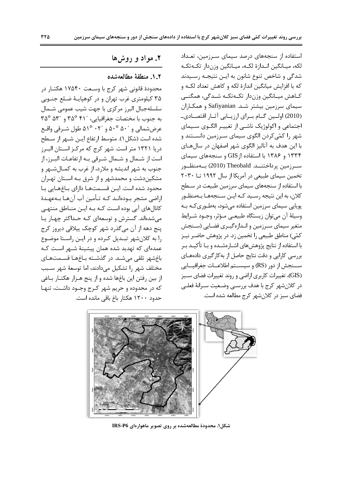استفاده از سنجههای درصد سیمای سـرزمین، تعـداد لكه، ميـانگين انـدازهٔ لكـه، ميـانگين وزندار تكـهتكـه شدگی و شاخص تنوع شانون به ایـن نتیجـه رسـیدند که با افزایش میانگین اندازهٔ لکه و کاهش تعداد لکـه و كـاهش ميـانگين وزندار تكـهتكـه شـدگي، همگنــي سیمای سرزمین بیشتر شـد. Safiyanian و همکـاران (2010) اولین گـام بـرای ارزیـابی آثـار اقتصـادیـ اجتماعی و اکولوژیک ناشـی از تغییـر الگـوی سـیمای شهر را کمّیکردن الگوی سیمای سـرزمین دانسـتند و با این هدف به آنالیز الگوی شهر اصفهان در سال هـای ۱۳۳۴ و ۱۳۸۶ با استفاده از GIS و سنجههای سیمای سـرزمين پرداختنــد. Theobald (2010) بــهمنظــور تخمین سیمای طبیعی در آمریکا از سال ۱۹۹۲ تــا ۲۰۳۰ با استفاده از سنجههای سیمای سرزمین طبیعت در سـطح كلان، به اين نتيجه رسـيد كـه ايـن سـنجههـا بـهمنظـور پویایی سیمای سرزمین استفاده میشود، بهطـوریکـه بـه وسيلهٔ آن ميتوان زيستگاه طبيعـي مـؤثر، وجـود شـرايط متغیر سیمای سـرزمین و انـدازهگیـری فضـایی (سـنجش كمّي) مناطق طبيعي را تخمين زد. در پژوهش حاضـر نيـز با استفاده از نتایج پژوهشهای اشــارهشــده و بــا تأکیــد بــر بررسی کارایی و دقت نتایج حاصل از بهکارگیری دادههـای ســنجش از دور (RS) و سيســتم اطلاعــات جغرافيــايي (GIS)، تغییرات کاربری اراضی و روند تغییرات فضای سـبز در كلانشهر كرج با هدف بررسـي وضـعيت سـرانهٔ فعلـي فضاي سبز در كلان شهر كرج مطالعه شده است.

# ۲. مواد و روشها

### ٠.٢. منطقة مطالعهشده

محدودة قانوني شهر كرج با وسـعت ١٧۵۴۰ هكتـار در ۳۵ کیلومتری غرب تهران و در کوهیایـهٔ ضـلع جنـوبی سلسلهجبال البرز مركزى با جهت شيب عمومى شـمال به جنوب با مختصات جغرافيايي، ٣٥° ٣٥° و ٣٥° ٣٥° عرض شمالي و ۵۰<sup>۰</sup> ۵۰<sup>۰ و</sup> ۵۱<sup>۰</sup> ۵۱<sup>۰</sup> هال شيرقي واقيع شده است (شكل ۱). متوسط ارتفاع ايـن شـهر از سـطح دریا ۱۳۲۱ متر است. شهر کرج که مرکـز اسـتان البــرز است از شـمال و شـمال شـرقی بـه ارتفاعـات البـرز، از جنوب به شهر اندیشه و ملارد، از غرب به کمـال شـهر و مشکیندشت و محمدشهر و از شرق بـه اسـتان تهـران محدود شده است. ایـن قسـمتهـا دارای بـاغهـایی بـا اراضی مشجر بـودهانـد کـه تـأمین آب آنهـا بـهعهـدهٔ کانالهای آبی بوده است کـه بـه ایـن منـاطق منتهـی می شدهاند. گسترش و توسعهای کـه حـداکثر چهـار يـا پنج دهه از آن میگذرد شهر کوچک پیلاقی دیروز کرج را به کلانشهر تبدیل کرده و در ایـن راسـتا موضـوع عمدهای که تهدید شده همان پیشینهٔ شـهر اسـت کـه باغشهر تلقى مى شـد. در گذشـته بـاغهـا قسـمتهـاى مختلف شهر را تشكيل مى دادند، اما توسعهٔ شهر سبب از بين رفتن اين باغها شده و از پنج هـزار هكتـار بـاغي که در محدوده و حریم شهر کرج وجـود داشـت، تنهـا حدود ۱۲۰۰ هکتار باغ باقی مانده است.



شکل۱. محدودهٔ مطالعهشده بر روی تصویر ماهوارهای IRS-P6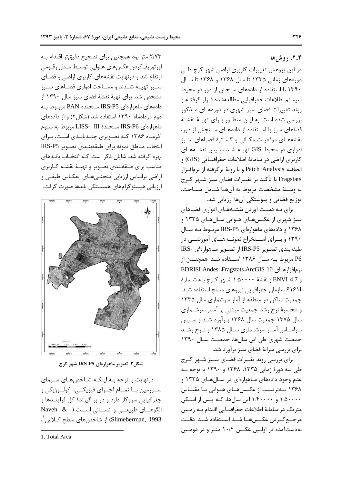٢.٢. روشها

در این پژوهش تغییرات کاربری اراضی شهر کرج طے دورههای زمانی ۱۳۳۵ تا سال ۱۳۶۸ و ۱۳۶۸ تا سال ۱۳۹۰ با استفاده از دادههای سنجش از دور در محیط سیستم اطلاعات جغرافیایی مطالعهشده قـرار گرفتـه و روند تغییرات فضای سبز شهری در دورههـای مـذکور بررسی شده است. به ایـن منظـور بـرای تهیـهٔ نقشـهٔ فضاهای سبز با استفاده از دادههای سنجش از دور، نقشههـای موقعیـت مكـانی و گسـترهٔ فضـاهای سـبز ادواری در محیط GIS تهیـه شـد سـپس نقشـههـای كاربري اراضي در سامانهٔ اطلاعات جغرافيــايي (GIS) و الحاقيه Patch Analysis وبا رويهٔ برگرفته از نرمافزار Fragstats با تأكيد بر تغييرات فضاي سبز شـهر كـرج به وسيلة مشخصات مربوط به آنها شـامل مسـاحت، توزیع فضایی و پیوستگی آنها ارزیابی شد.

برای بـه دسـت آوردن نقشـههـای ادواری فضـاهای سبز شهری از عکـسهـای هـوایی سـالهـای ۱۳۳۵ و ۱۳۶۸ و دادههای ماهوارهای IRS-P5 مربوط بـه سـال ۱۳۹۰ و برای استخراج نمونــههــای آموزشــی در طبقهبندي تصوير IRS-P5 از تصوير مـاهوارهاي -IRS P6 مربوط بـه سـال ۱۳۸۶ اسـتفاده شـد. همچنـین از نرمافزارهـای EDRISI Andes Fragstats ArcGIS 10 و 4.7 ENVI و نقشهٔ ۱۰۵۰۰۰۰ شـهر کـرج بـه شـمارهٔ ۶۱۶۱I سازمان جغرافيايي نيروهاي مسلح استفاده شـد. جمعیت ساکن در منطقه از آمار سرشماری سال ۱۳۳۵ و محاسبهٔ نرخ رشد جمعیت مبتنی بر آمـار سرشـماری سال ۱۳۷۵ جمعیت سال ۱۳۶۸ برآورد شـد و سـپس بـراسـاس آمـار سرشـماری سـال ۱۳۸۵ و نـرخ رشـد جمعیت شهری طی این سالها، جمعیت سال ١٣٩٠ برای بررسی سرانهٔ فضای سبز برآورد شد.

برای بررسی روند تغییرات فضـای سـبز شـهر كـرج طی سه دورهٔ زمانی ۱۳۳۵، ۱۳۶۸ و ۱۳۹۰ با توجه بـه عدم وجود دادههای مـاهوارهای در ســالهــای ۱۳۳۵ و ۱۳۶۸ بهترتیب از عکسههای هوایی با مقیاس ۱:۵۰۰۰۰ و ۱:۴۰۰۰۰ این سالها، کـه پـس از اسـکن متریک در سامانهٔ اطلاعات جغرافیـایی اقـدام بـه زمـین مرجع كـردن عكـس9هــا شــد اســتفاده شــد. دقــت بهدستآمده در اولین عکس ۱۰/۴ متـر و در دومـین

٢/٧٣ متر بود همچنین برای تصحیح دقیقتر اقـدام بـه اورتوريفكردن عكسهاى هـوايي توسـط مـدل رقـومي ارتفاع شد و درنهایت نقشههای کاربری اراضی و فضای سـبز تهيـه شـدند و مسـاحت ادواري فضـاهاي سـبز مشخص شد. برای تهیهٔ نقشهٔ فضای سبز سال ۱۳۹۰ از دادههای ماهوارهای IRS-P5 سنجنده PAN مربوط به دوم مردادماه ۱۳۹۰ استفاده شد (شکل ۲) و از دادههای ماهوارهای IRS-P6 سنجندهٔ LISS- III مربوط به سـوم آذرمـاه ۱۳۸۶ کـه تصـویری چنـدبانـدی اسـت، بـرای انتخاب مناطق نمونه براى طبقهبندى تصوير IRS-P5 بهره گرفته شد. شایان ذکر است کـه انتخـاب بانـدهای مناسب برای طبقهبندی تصـویر و تهیـهٔ نقشـه کـاربری اراضي براساس ارزيابي منحنـىهـاي انعكـاس طيفـى و ارزیابی هیستوگرامهای همبستگی باندها صورت گرفت.



شکل۲. تصویر ماهوارهای IRS-P5 شهر کرج

درنهایت با توجه بـه اینکـه شـاخصهـای سـیمای سـرزمين بــا تمــام اجــزاي فيزيكــي، اكولــوژيكي و جغرافیایی سروکار دارد و در بر گیرندهٔ کل فراینـدها و الگوهای طبیعه و انسانی است ( Naveh & Slimeberman, 1993) از شاخصهای سطح کـلاس '،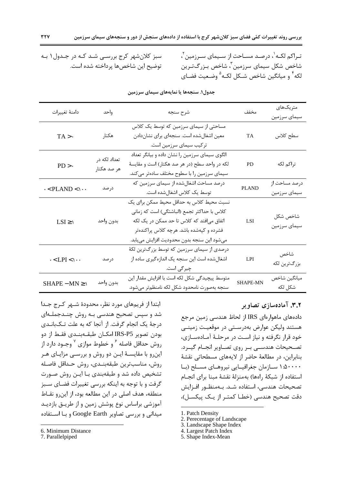تـراكم لكـه`، درصـد مسـاحت از سـيماي سـرزمين ٌ، شاخص شکل سیمای سرزمین ؓ، شاخص بـزرگتـرین لكه<sup>۴</sup> و ميانگين شاخص شـكل لكـه<sup>۵</sup> وضـعيت فضـاي

سبز کلانشهر کرج بررسی شد کـه در جـدول۱ بـه توضيح اين شاخصها يرداخته شده است.

| دامنهٔ تغییرات                | واحد                        | شرح سنجه                                                                                                                                                                                                                        | مخفف            | متريكهاى<br>سيماي سرزمين      |
|-------------------------------|-----------------------------|---------------------------------------------------------------------------------------------------------------------------------------------------------------------------------------------------------------------------------|-----------------|-------------------------------|
| $TA > \cdot$                  | هكتار                       | مساحتی از سیمای سرزمین که توسط یک کلاس<br>معین اشغالشده است. سنجهای برای نشاندادن<br>ترکیب سیمای سرزمین است.                                                                                                                    | <b>TA</b>       | سطح كلاس                      |
| $PD > \cdot$                  | تعداد لکه در<br>هر صد هکتار | الگوی سیمای سرزمین را نشان داده و بیانگر تعداد<br>لکه در واحد سطح (در هر صد هکتار) است و مقایسهٔ<br>سیمای سرزمین را با سطوح مختلف سادهتر میکند.                                                                                 | <b>PD</b>       | تراكم لكه                     |
| $\cdot$ < PLAND < \\cdot .    | در صد                       | درصد مساحت اشغالشده از سیمای سرزمین که<br>توسط یک کلاس اشغالشده است.                                                                                                                                                            | PLAND           | درصد مساحت از<br>سيماي سرزمين |
| $LSI \geq 1$                  | بدون واحد                   | نسبت محیط کلاس به حداقل محیط ممکن برای یک<br>كلاس با حداكثر تجمع (انباشتگی) است كه زمانی<br>اتفاق می فتد که کلاس تا حد ممکن در یک لکه<br>فشرده و کپهشده باشد. هرچه کلاس پراکندهتر<br>ميشود اين سنجه بدون محدوديت افزايش مييابد. | <b>LSI</b>      | شاخص شكل<br>سيماي سرزمين      |
| $\cdot$ < LPI < $\cdot \cdot$ | درصد                        | درصدی از سیمای سرزمین که توسط بزرگترین لکهٔ<br>اشغالشده است این سنجه یک اندازهگیری ساده از<br>چیر گی است.                                                                                                                       | LPI             | شاخص<br>بزرگترين لكه          |
| $SHAPE - MN \geq 0$           | بدون واحد                   | متوسط پیچیدگی شکل لکه است با افزایش مقدار این<br>سنجه بهصورت نامحدود شكل لكه نامنظمتر مىشود.                                                                                                                                    | <b>SHAPE-MN</b> | ميانگين شاخص<br>شكل لكه       |

#### جدول(. سنجهها یا نمایههای سیمای سرزمین

ابتدا از فریمهای مورد نظر، محدودهٔ شـهر کـرج جـدا شد و سپس تصحیح هندسی بـه روش چنــدجملــهای درجهٔ یک انجام گرفت. از آنجا که به علت تـکبانـدی بودن تصوير IRS-P5 امكـان طبقــهبنــدي فقـط از دو روش حداقل فاصله <sup>۶</sup> و خطوط موازی <sup>۷</sup> وجــود دارد از اینرو با مقایسـهٔ ایـن دو روش و بررسـی مزایـای هـر روش، مناسب ترين طبقهبندي، روش حداقل فاصله تشخیص داده شد و طبقهبندی بـا ایـن روش صـورت گرفت و با توجه به اینکه بررسی تغییرات فضای سـبز منطقه، هدف اصلی در این مطالعه بود، از این و نقـاط آموزشی براساس نوع پوشش زمین و از طریـق بازدیـد میدانی و بررسی تصاویر Google Earth و با استفاده

7. Parallelpiped

۳.۲. آمادهسازی تصاویر

دادههای ماهوارهای IRS از لحاظ هندسی زمین مرجع هستند وليكن عوارض بهدرستي در موقعيت زميني خود قرار نگرفته و نیاز است در مرحلـهٔ آمـادهسـازی، تصـحیحات هندســی بــر روی تصــاویر انجــام گیــرد. بنابراین، در مطالعهٔ حاضر از لایههای مسطحاتی نقشهٔ ۵۰۰۰۰ سازمان جغرافیـایی نیروهـای مسـلح (بـا استفاده از شبكة راهها) بهمنزلة نقشة مبنا براي انجـام تصحيحات هندسي، استفاده شـد. بـهمنظـور افـزايش دقت تصحیح هندسی (خطـا کمتـر از یـک پیکسـل)،

- 2. Perecentage of Landscape
- 3. Landscape Shape Index
- 4. Largest Patch Index
- 5. Shape Index-Mean

<sup>6.</sup> Minimum Distance

<sup>1.</sup> Patch Density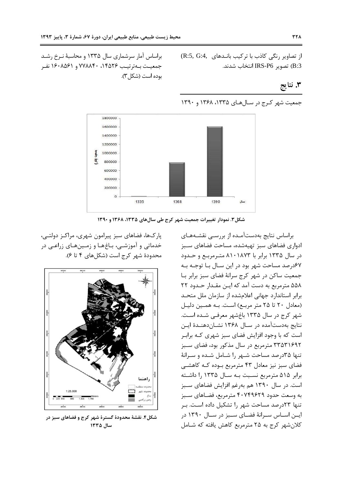بوده است (شکل ۳).

براساس آمار سرشماری سال ۱۳۳۵ و محاسبهٔ نـرخ رشـد

جمعيت بــهترتيــب ١٤٥٢۶، ٧٧٨٨۴٠ و ١۶٠٨۵۶١ نفـر

از تصاویر رنگی کاذب با ترکیب بانـدهای (R:5, G:4 B:3) تصوير IRS-P6 انتخاب شدند.

## ۳. نتايج



شکل۳. نمودار تغییرات جمعیت شهر کرج طی سالهای ۱۳۳۵، ۱۳۶۸ و ۱۳۹۰

براساس نتايج بهدستآمده از بررسي نقشههاي ادواری فضاهای سبز تهیهشده، مساحت فضاهای سبز در سال ۱۳۳۵ برابر با ۸۱۰۱۸۷۳ مترمربع و حـدود ۶۷درصد مساحت شهر بود در این سـال بـا توجـه بـه جمعیت ساکن در شهر کرج سرانهٔ فضای سبز برابر بـا ۵۵۸ مترمربع به دست آمد که این مقدار حدود ۲۲ برابر استاندارد جهانی اعلامشده از سازمان ملل متحد (معادل ٢٠ تا ٢٥ متر مربع) است. به همين دليل شهر کرج در سال ۱۳۳۵ باغشهر معرفی شـده اسـت. نتايج بهدستآمده در سـال ۱۳۶۸ نشـاندهنـدهٔ ايـن است که با وجود افزایش فضای سبز شهری کـه برابـر ۳۳۵۳۱۶۹۲ مترمربع در سال مذکور بود، فضای سـبز تنها ۳۵درصد مساحت شـهر را شـامل شـده و سـرانهٔ فضای سبز نیز معادل ۴۳ مترمربع بوده کـه کاهشـی برابر ۵۱۵ مترمربع نسبت بـه سـال ۱۳۳۵ را داشـته است. در سال ۱۳۹۰ هم بهرغم افزایش فضاهای سبز به وسعت حدود ۴۰۷۴۹۶۲۹ مترمربع، فضـاهای سـبز تنها ٢٣درصد مساحت شهر را تشكيل داده است. بـر ایسن استاس سترانهٔ فضیای سیبز در ستال ۱۳۹۰ در كلان شهر كرج به ٢۵ مترمربع كاهش يافته كه شـامل

پارکها، فضاهای سبز پیرامون شهری، مراکـز دولتـی، خدماتی و آموزشـی، بـاغهـا و زمـینهـای زراعـی در محدودة شهر كرج است (شكل هاي ۴ تا ۶).



شکل۴. نقشهٔ محدودهٔ گسترهٔ شهر کرج و فضاهای سبز در سال ١٣٣٥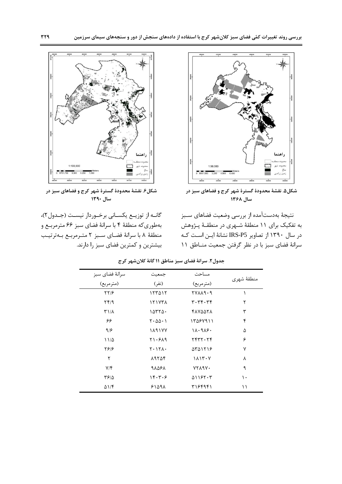

شکل۵. نقشهٔ محدودهٔ گسترهٔ شهر کرج و فضاهای سبز در سال ۱۳۶۸

نتيجهٔ بهدستآمده از بررسي وضعيت فضاهاي سـبز به تفکیک برای ۱۱ منطقهٔ شـهری در منطقـهٔ پـژوهش در سال ۱۳۹۰ از تصاویر IRS-P5 نشانهٔ ایــن اسـت کــه سرانهٔ فضای سبز با در نظر گرفتن جمعیت منـاطق ۱۱



شکل۶. نقشهٔ محدودهٔ گسترهٔ شهر کرج و فضاهای سبز در  $119.$  July

گانـه از توزيــع يكســاني برخــوردار نيســت (جــدول٢)، بهطوري كه منطقة ۴ با سرانة فضاي سبز ۶۶ مترمربع و منطقة ٨ با سرانة فضاى سبز ٢ مترمربع بهترتيب بیشترین و کمترین فضای سبز را دارند.

| سرانهٔ فضای سبز                      | مساحت<br>جمعيت     |                                        |             |  |
|--------------------------------------|--------------------|----------------------------------------|-------------|--|
| (مترمربع)                            | (نفر)              | (مترمربع)                              | منطقهٔ شهری |  |
| $\frac{8}{15}$                       | ۱۲۳۵۱۲             | 77119.9                                |             |  |
| $\mathbf{Y} \mathbf{Y} / \mathbf{Y}$ | 171771             | 44.44.7                                | ٢           |  |
| ۳۱/۸                                 | ۱۵۳۲۵۰             | 1110071                                | ٣           |  |
| ۶۶                                   | 5.00.1             | ۱۳۵۶۷۹۱۱                               | ۴           |  |
| 9/5                                  | 189177             | $1\lambda \cdot 9\lambda$ ۶.           | ۵           |  |
| $11/\Delta$                          | Y1.519             | ۲۴۳۲۰۲۴                                | ۶           |  |
| 5818                                 | $Y \cdot YX \cdot$ | $\Delta \Upsilon \Delta 1 \Upsilon 19$ | ٧           |  |
| ٢                                    | ۱۹۲۵۴              | 1117.7                                 | ٨           |  |
| $Y/\mathfrak{F}$                     | 91581              | VYA9V.                                 | ٩           |  |
| ۳۶۱۵                                 | ۱۴۰۳۰۶             | 01187.7                                | ۱۰          |  |
| $\Delta$ \/f                         | 51091              | ۳۱۶۴۹۴۱                                | ۱۱          |  |

جدول٢. سرانة فضاي سبز مناطق ١١ گانة كلانشهر كرج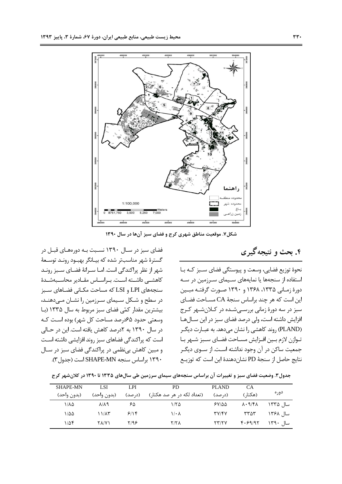فضای سبز در سـال ۱۳۹۰ نسـبت بـه دورههـای قبـل در

گسترهٔ شهر مناسبتر شده که بیـانگر بهبـود رونـد توسـعهٔ شهر از نظر پراکندگی است. امــا ســرانهٔ فضــای ســبز رونــد

كاهشــى داشــته اسـت. بـراســاس مقــادير محاســبهشــدهٔ

سنجەهای LPI و LSI که مساحت مکـانی فضـاهای سـبز در سطح و شـكل سـيماي سـرزمين را نشـان مـيدهنـد،

بیشترین مقدار کمّی فضای سبز مربوط به سال ۱۳۳۵ (با

وسعتی حدود ۶۵درصد مساحت کل شهر) بوده است کـه در سال ۱۳۹۰ به ۲درصد کاهش یافته است. این در حـالی

است که پراکندگی فضاهای سبز روند افزایشی داشته اسـت

و مبین کاهش بی نظمی در پراکندگی فضای سبز در سال

۱۳۹۰ براساس سنجه SHAPE-MN است (جدول ۳).



شکل ۷. موقعیت مناطق شهری کرج و فضای سبز آنها در سال ۱۳۹۰

۴. بحث و نتیجه گیری

نحوهٔ توزیع فضایی، وسعت و پیوستگی فضای سـبز کـه بـا استفاده از سنجهها یا نمایههای سـیمای سـرزمین در سـه دورهٔ زمـانی ۱۳۳۵، ۱۳۶۸ و ۱۳۹۰ صـورت گرفتـه مبـین این است که هر چند براساس سنجهٔ CA مســاحت فضــای سبز در سه دورهٔ زمانی بررسـیشـده در کـلانشـهر کـرج افزایش داشته است، ولی درصد فضای سبز در این سـالهـا (PLAND) روند كاهشي را نشان مي دهد. به عبـارت ديگـر تـوازن لازم بـين افـزايش مسـاحت فضـاي سـبز شـهر بـا جمعیت ساکن در آن وجود نداشته اسـت. از سـوی دیگـر نتايج حاصل از سنجهٔ PD نشان دهندهٔ اين است كه توزيـع

جدول۳. وضعیت فضای سبز و تغییرات آن براساس سنجههای سیمای سرزمین طی سالهای ۱۳۳۵ تا ۱۳۹۰ در کلان شهر کرج

| <b>SHAPE-MN</b> | LSI                 | LPI     | <b>PD</b>                  | <b>PLAND</b>      | CA                                      |          |
|-----------------|---------------------|---------|----------------------------|-------------------|-----------------------------------------|----------|
| (بدون واحد)     | (بدون واحد)         | (د, صد) | (تعداد لکه در هر صد هکتار) | (د, صد)           | (هکتا, )                                | دوره     |
| ۱/۸۵            | $\lambda/\lambda$ ٩ | ۶۵      | ۱۱۲۵                       | $5Y/\Delta\Delta$ | $\lambda \cdot \mathcal{A}/\mathcal{F}$ | سال ۱۳۳۵ |
| ۱/۵۵            | ۱۱/۸۳               | 9/19    | $1/\cdot \lambda$          | <b>۳</b> ۷/۴۷     | ۳۳۵۳                                    | سال ۱۳۶۸ |
| ۱/۵۴            | <b>TA/V)</b>        | ۲/۹۶    | <b>Y/ Y A</b>              | ۲۳/۲۷             | F.59/97                                 | سال ۱۳۹۰ |